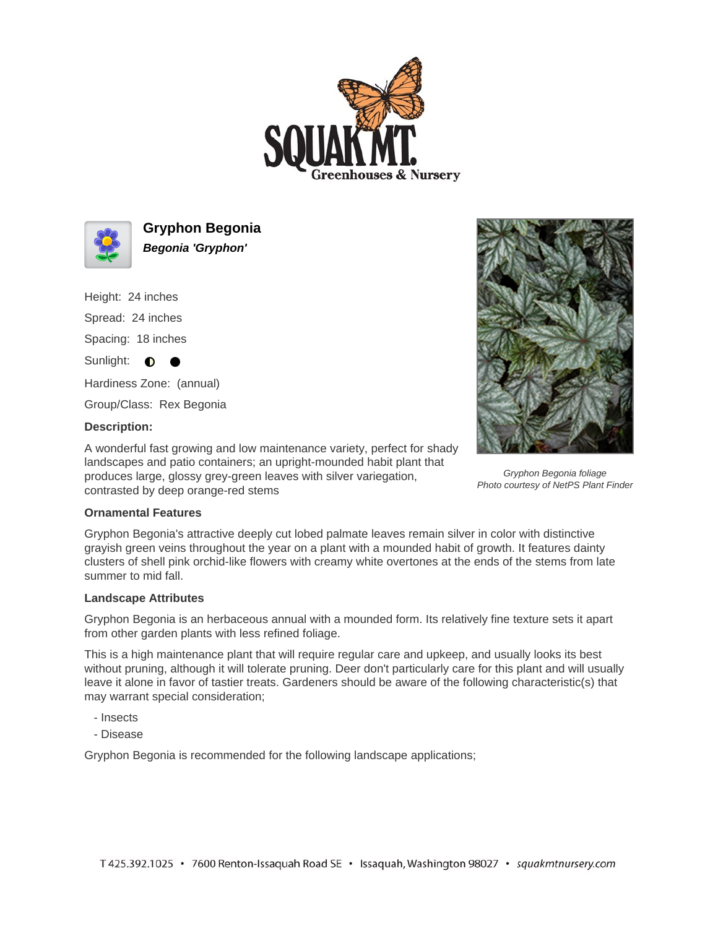



**Gryphon Begonia Begonia 'Gryphon'**

Height: 24 inches

Spread: 24 inches

Spacing: 18 inches

Sunlight:  $\bullet$ 

Hardiness Zone: (annual)

Group/Class: Rex Begonia

## **Description:**

A wonderful fast growing and low maintenance variety, perfect for shady landscapes and patio containers; an upright-mounded habit plant that produces large, glossy grey-green leaves with silver variegation, contrasted by deep orange-red stems



Gryphon Begonia foliage Photo courtesy of NetPS Plant Finder

## **Ornamental Features**

Gryphon Begonia's attractive deeply cut lobed palmate leaves remain silver in color with distinctive grayish green veins throughout the year on a plant with a mounded habit of growth. It features dainty clusters of shell pink orchid-like flowers with creamy white overtones at the ends of the stems from late summer to mid fall.

## **Landscape Attributes**

Gryphon Begonia is an herbaceous annual with a mounded form. Its relatively fine texture sets it apart from other garden plants with less refined foliage.

This is a high maintenance plant that will require regular care and upkeep, and usually looks its best without pruning, although it will tolerate pruning. Deer don't particularly care for this plant and will usually leave it alone in favor of tastier treats. Gardeners should be aware of the following characteristic(s) that may warrant special consideration;

- Insects
- Disease

Gryphon Begonia is recommended for the following landscape applications;